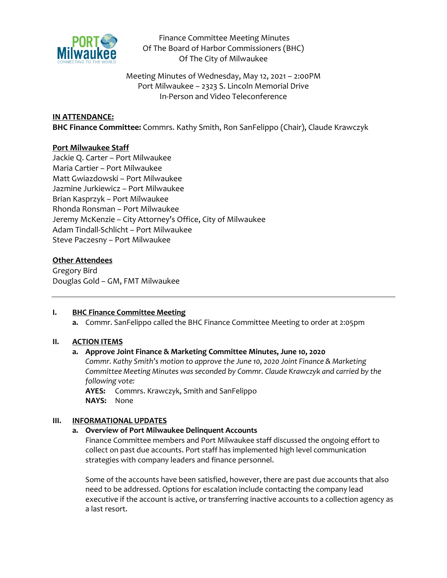

Finance Committee Meeting Minutes Of The Board of Harbor Commissioners (BHC) Of The City of Milwaukee

Meeting Minutes of Wednesday, May 12, 2021 – 2:00PM Port Milwaukee – 2323 S. Lincoln Memorial Drive In-Person and Video Teleconference

## **IN ATTENDANCE:**

**BHC Finance Committee:** Commrs. Kathy Smith, Ron SanFelippo (Chair), Claude Krawczyk

## **Port Milwaukee Staff**

Jackie Q. Carter – Port Milwaukee Maria Cartier – Port Milwaukee Matt Gwiazdowski – Port Milwaukee Jazmine Jurkiewicz – Port Milwaukee Brian Kasprzyk – Port Milwaukee Rhonda Ronsman – Port Milwaukee Jeremy McKenzie – City Attorney's Office, City of Milwaukee Adam Tindall-Schlicht – Port Milwaukee Steve Paczesny – Port Milwaukee

## **Other Attendees**

Gregory Bird Douglas Gold – GM, FMT Milwaukee

## **I. BHC Finance Committee Meeting**

**a.** Commr. SanFelippo called the BHC Finance Committee Meeting to order at 2:05pm

### **II. ACTION ITEMS**

### **a. Approve Joint Finance & Marketing Committee Minutes, June 10, 2020**

*Commr. Kathy Smith's motion to approve the June 10, 2020 Joint Finance & Marketing Committee Meeting Minutes was seconded by Commr. Claude Krawczyk and carried by the following vote:*

**AYES:** Commrs. Krawczyk, Smith and SanFelippo **NAYS:** None

### **III. INFORMATIONAL UPDATES**

### **a. Overview of Port Milwaukee Delinquent Accounts**

Finance Committee members and Port Milwaukee staff discussed the ongoing effort to collect on past due accounts. Port staff has implemented high level communication strategies with company leaders and finance personnel.

Some of the accounts have been satisfied, however, there are past due accounts that also need to be addressed. Options for escalation include contacting the company lead executive if the account is active, or transferring inactive accounts to a collection agency as a last resort.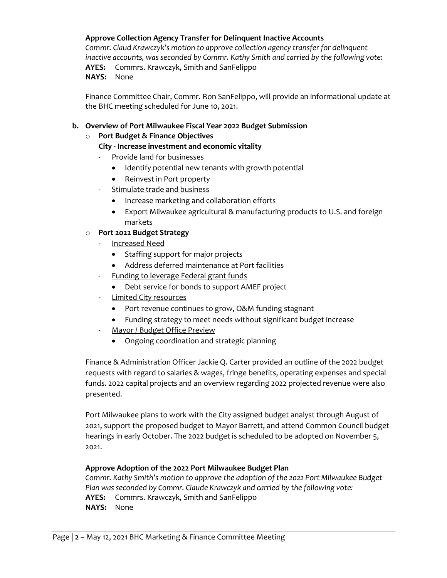## **Approve Collection Agency Transfer for Delinquent Inactive Accounts**

*Commr. Claud Krawczyk's motion to approve collection agency transfer for delinquent inactive accounts, was seconded by Commr. Kathy Smith and carried by the following vote:* **AYES:** Commrs. Krawczyk, Smith and SanFelippo **NAYS:** None

Finance Committee Chair, Commr. Ron SanFelippo, will provide an informational update at the BHC meeting scheduled for June 10, 2021.

## **b. Overview of Port Milwaukee Fiscal Year 2022 Budget Submission**

# o **Port Budget & Finance Objectives**

# **City - Increase investment and economic vitality**

- Provide land for businesses
	- Identify potential new tenants with growth potential
	- Reinvest in Port property
- Stimulate trade and business
	- Increase marketing and collaboration efforts
	- Export Milwaukee agricultural & manufacturing products to U.S. and foreign markets

# o **Port 2022 Budget Strategy**

- Increased Need
	- Staffing support for major projects
	- Address deferred maintenance at Port facilities
- Funding to leverage Federal grant funds
	- Debt service for bonds to support AMEF project
- **Limited City resources** 
	- Port revenue continues to grow, O&M funding stagnant
	- Funding strategy to meet needs without significant budget increase
- Mayor / Budget Office Preview
	- Ongoing coordination and strategic planning

Finance & Administration Officer Jackie Q. Carter provided an outline of the 2022 budget requests with regard to salaries & wages, fringe benefits, operating expenses and special funds. 2022 capital projects and an overview regarding 2022 projected revenue were also presented.

Port Milwaukee plans to work with the City assigned budget analyst through August of 2021, support the proposed budget to Mayor Barrett, and attend Common Council budget hearings in early October. The 2022 budget is scheduled to be adopted on November 5, 2021.

## **Approve Adoption of the 2022 Port Milwaukee Budget Plan**

*Commr. Kathy Smith's motion to approve the adoption of the 2022 Port Milwaukee Budget Plan was seconded by Commr. Claude Krawczyk and carried by the following vote:* **AYES:** Commrs. Krawczyk, Smith and SanFelippo **NAYS:** None